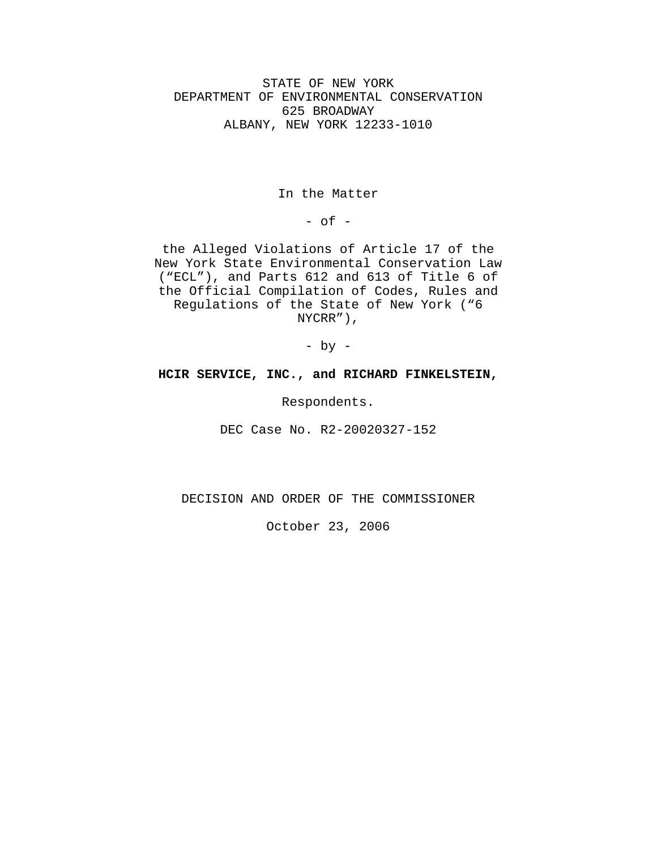STATE OF NEW YORK DEPARTMENT OF ENVIRONMENTAL CONSERVATION 625 BROADWAY ALBANY, NEW YORK 12233-1010

In the Matter

 $-$  of  $-$ 

the Alleged Violations of Article 17 of the New York State Environmental Conservation Law ("ECL"), and Parts 612 and 613 of Title 6 of the Official Compilation of Codes, Rules and Regulations of the State of New York ("6 NYCRR"),

- by -

## **HCIR SERVICE, INC., and RICHARD FINKELSTEIN,**

Respondents.

DEC Case No. R2-20020327-152

DECISION AND ORDER OF THE COMMISSIONER

October 23, 2006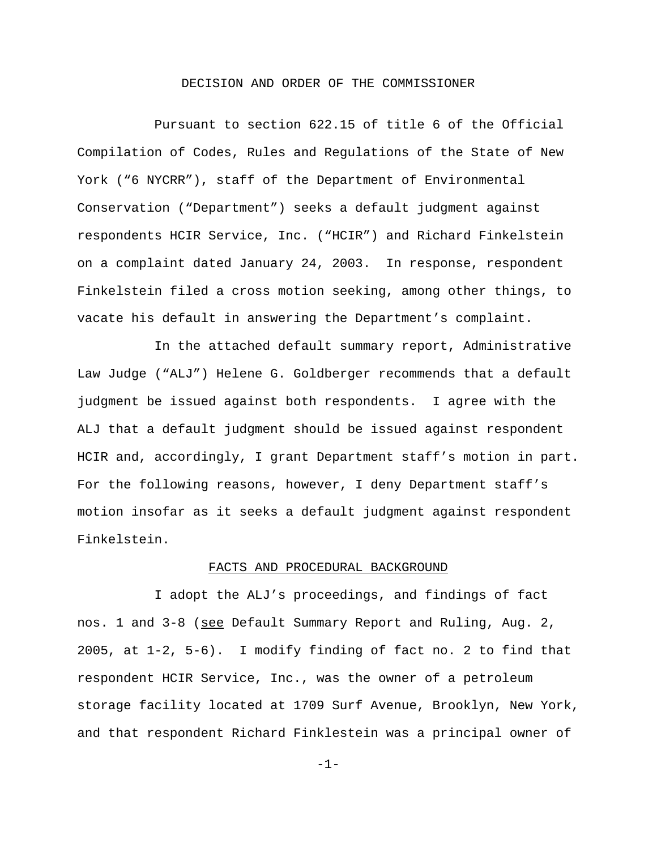## DECISION AND ORDER OF THE COMMISSIONER

Pursuant to section 622.15 of title 6 of the Official Compilation of Codes, Rules and Regulations of the State of New York ("6 NYCRR"), staff of the Department of Environmental Conservation ("Department") seeks a default judgment against respondents HCIR Service, Inc. ("HCIR") and Richard Finkelstein on a complaint dated January 24, 2003. In response, respondent Finkelstein filed a cross motion seeking, among other things, to vacate his default in answering the Department's complaint.

In the attached default summary report, Administrative Law Judge ("ALJ") Helene G. Goldberger recommends that a default judgment be issued against both respondents. I agree with the ALJ that a default judgment should be issued against respondent HCIR and, accordingly, I grant Department staff's motion in part. For the following reasons, however, I deny Department staff's motion insofar as it seeks a default judgment against respondent Finkelstein.

### FACTS AND PROCEDURAL BACKGROUND

I adopt the ALJ's proceedings, and findings of fact nos. 1 and 3-8 (see Default Summary Report and Ruling, Aug. 2, 2005, at 1-2, 5-6). I modify finding of fact no. 2 to find that respondent HCIR Service, Inc., was the owner of a petroleum storage facility located at 1709 Surf Avenue, Brooklyn, New York, and that respondent Richard Finklestein was a principal owner of

-1-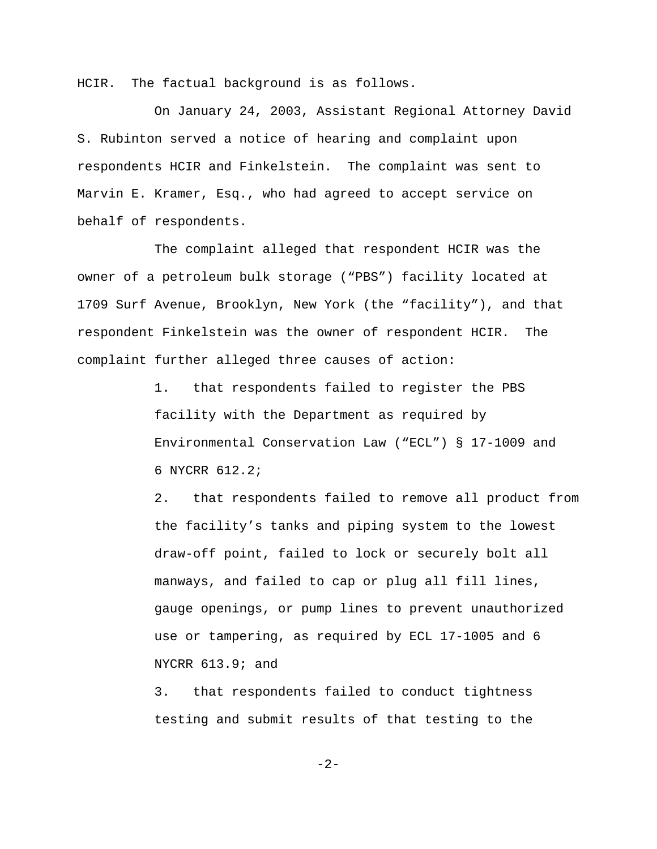HCIR. The factual background is as follows.

On January 24, 2003, Assistant Regional Attorney David S. Rubinton served a notice of hearing and complaint upon respondents HCIR and Finkelstein. The complaint was sent to Marvin E. Kramer, Esq., who had agreed to accept service on behalf of respondents.

The complaint alleged that respondent HCIR was the owner of a petroleum bulk storage ("PBS") facility located at 1709 Surf Avenue, Brooklyn, New York (the "facility"), and that respondent Finkelstein was the owner of respondent HCIR. The complaint further alleged three causes of action:

> 1. that respondents failed to register the PBS facility with the Department as required by Environmental Conservation Law ("ECL") § 17-1009 and 6 NYCRR 612.2;

2. that respondents failed to remove all product from the facility's tanks and piping system to the lowest draw-off point, failed to lock or securely bolt all manways, and failed to cap or plug all fill lines, gauge openings, or pump lines to prevent unauthorized use or tampering, as required by ECL 17-1005 and 6 NYCRR 613.9; and

3. that respondents failed to conduct tightness testing and submit results of that testing to the

-2-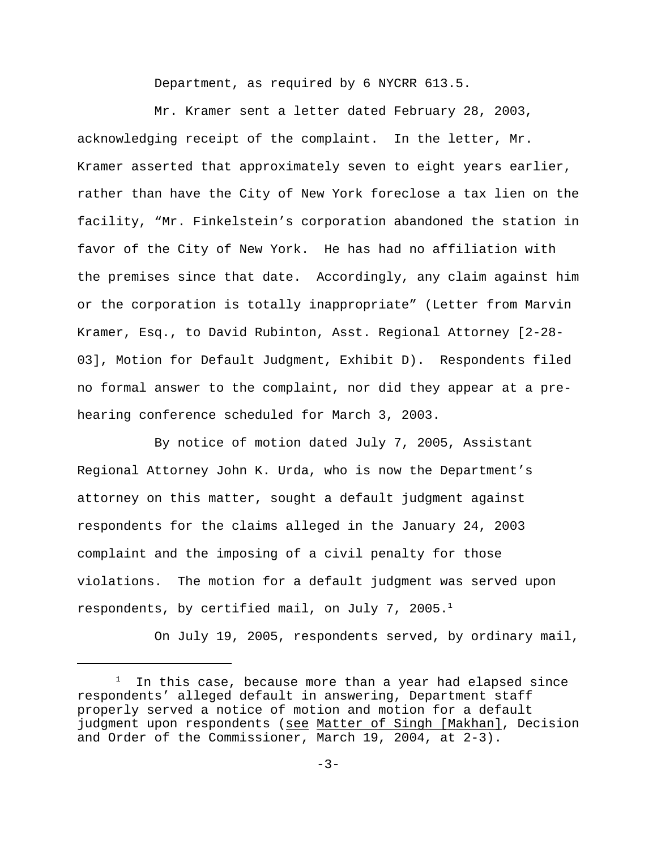Department, as required by 6 NYCRR 613.5.

Mr. Kramer sent a letter dated February 28, 2003, acknowledging receipt of the complaint. In the letter, Mr. Kramer asserted that approximately seven to eight years earlier, rather than have the City of New York foreclose a tax lien on the facility, "Mr. Finkelstein's corporation abandoned the station in favor of the City of New York. He has had no affiliation with the premises since that date. Accordingly, any claim against him or the corporation is totally inappropriate" (Letter from Marvin Kramer, Esq., to David Rubinton, Asst. Regional Attorney [2-28- 03], Motion for Default Judgment, Exhibit D). Respondents filed no formal answer to the complaint, nor did they appear at a prehearing conference scheduled for March 3, 2003.

By notice of motion dated July 7, 2005, Assistant Regional Attorney John K. Urda, who is now the Department's attorney on this matter, sought a default judgment against respondents for the claims alleged in the January 24, 2003 complaint and the imposing of a civil penalty for those violations. The motion for a default judgment was served upon respondents, by certified mail, on July 7, 2005.<sup>1</sup>

On July 19, 2005, respondents served, by ordinary mail,

<sup>1</sup> In this case, because more than a year had elapsed since respondents' alleged default in answering, Department staff properly served a notice of motion and motion for a default judgment upon respondents (see Matter of Singh [Makhan], Decision and Order of the Commissioner, March 19, 2004, at 2-3).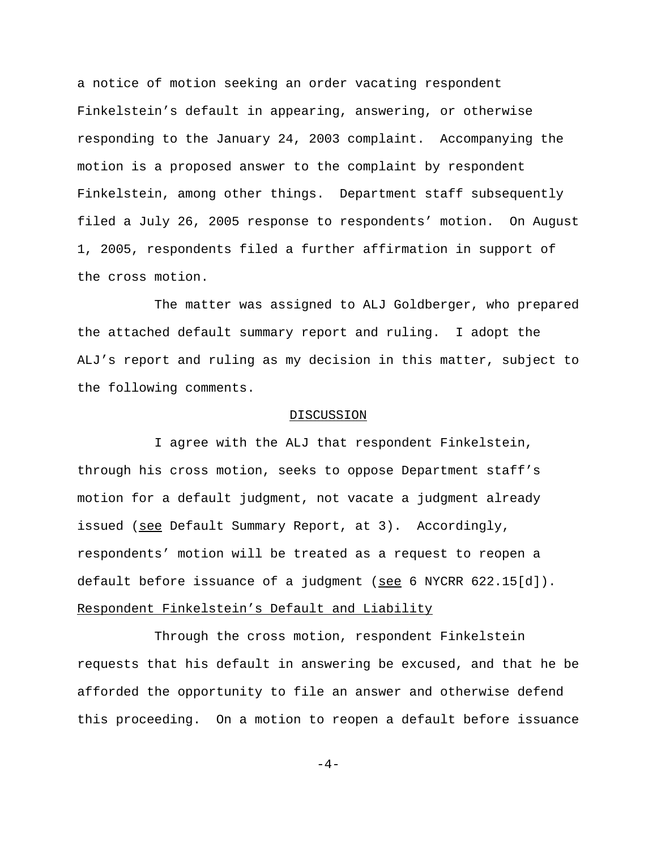a notice of motion seeking an order vacating respondent Finkelstein's default in appearing, answering, or otherwise responding to the January 24, 2003 complaint. Accompanying the motion is a proposed answer to the complaint by respondent Finkelstein, among other things. Department staff subsequently filed a July 26, 2005 response to respondents' motion. On August 1, 2005, respondents filed a further affirmation in support of the cross motion.

The matter was assigned to ALJ Goldberger, who prepared the attached default summary report and ruling. I adopt the ALJ's report and ruling as my decision in this matter, subject to the following comments.

#### DISCUSSION

I agree with the ALJ that respondent Finkelstein, through his cross motion, seeks to oppose Department staff's motion for a default judgment, not vacate a judgment already issued (see Default Summary Report, at 3). Accordingly, respondents' motion will be treated as a request to reopen a default before issuance of a judgment (see 6 NYCRR  $622.15[d]$ ). Respondent Finkelstein's Default and Liability

Through the cross motion, respondent Finkelstein requests that his default in answering be excused, and that he be afforded the opportunity to file an answer and otherwise defend this proceeding. On a motion to reopen a default before issuance

 $-4-$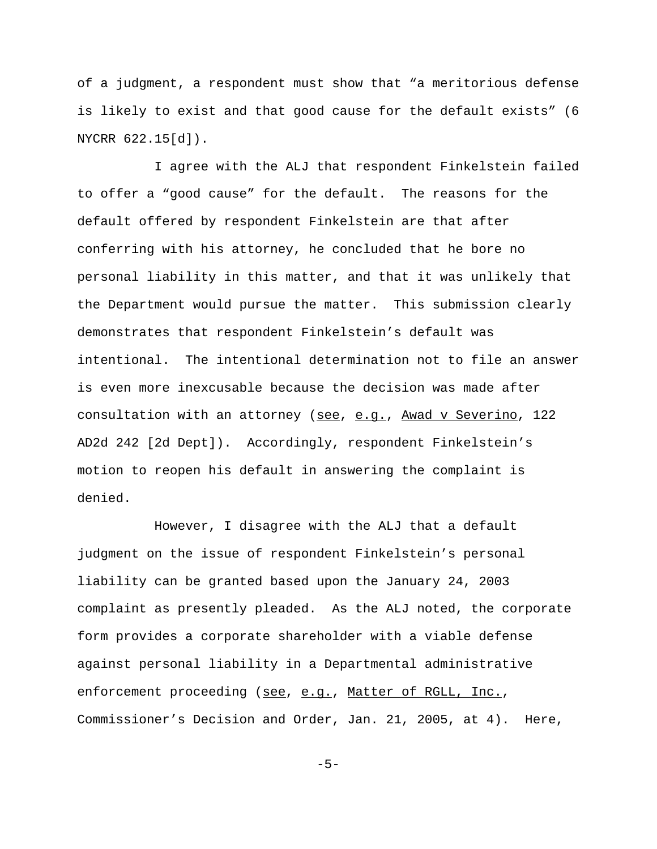of a judgment, a respondent must show that "a meritorious defense is likely to exist and that good cause for the default exists" (6 NYCRR 622.15[d]).

I agree with the ALJ that respondent Finkelstein failed to offer a "good cause" for the default. The reasons for the default offered by respondent Finkelstein are that after conferring with his attorney, he concluded that he bore no personal liability in this matter, and that it was unlikely that the Department would pursue the matter. This submission clearly demonstrates that respondent Finkelstein's default was intentional. The intentional determination not to file an answer is even more inexcusable because the decision was made after consultation with an attorney (see, e.g., Awad v Severino, 122 AD2d 242 [2d Dept]). Accordingly, respondent Finkelstein's motion to reopen his default in answering the complaint is denied.

However, I disagree with the ALJ that a default judgment on the issue of respondent Finkelstein's personal liability can be granted based upon the January 24, 2003 complaint as presently pleaded. As the ALJ noted, the corporate form provides a corporate shareholder with a viable defense against personal liability in a Departmental administrative enforcement proceeding (see, e.g., Matter of RGLL, Inc., Commissioner's Decision and Order, Jan. 21, 2005, at 4). Here,

 $-5-$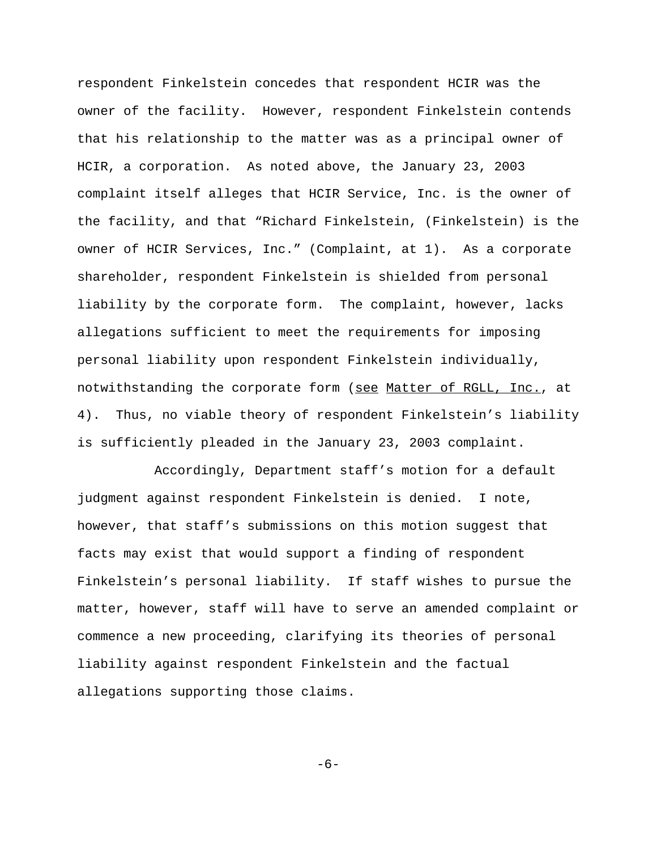respondent Finkelstein concedes that respondent HCIR was the owner of the facility. However, respondent Finkelstein contends that his relationship to the matter was as a principal owner of HCIR, a corporation. As noted above, the January 23, 2003 complaint itself alleges that HCIR Service, Inc. is the owner of the facility, and that "Richard Finkelstein, (Finkelstein) is the owner of HCIR Services, Inc." (Complaint, at 1). As a corporate shareholder, respondent Finkelstein is shielded from personal liability by the corporate form. The complaint, however, lacks allegations sufficient to meet the requirements for imposing personal liability upon respondent Finkelstein individually, notwithstanding the corporate form (see Matter of RGLL, Inc., at 4). Thus, no viable theory of respondent Finkelstein's liability is sufficiently pleaded in the January 23, 2003 complaint.

Accordingly, Department staff's motion for a default judgment against respondent Finkelstein is denied. I note, however, that staff's submissions on this motion suggest that facts may exist that would support a finding of respondent Finkelstein's personal liability. If staff wishes to pursue the matter, however, staff will have to serve an amended complaint or commence a new proceeding, clarifying its theories of personal liability against respondent Finkelstein and the factual allegations supporting those claims.

-6-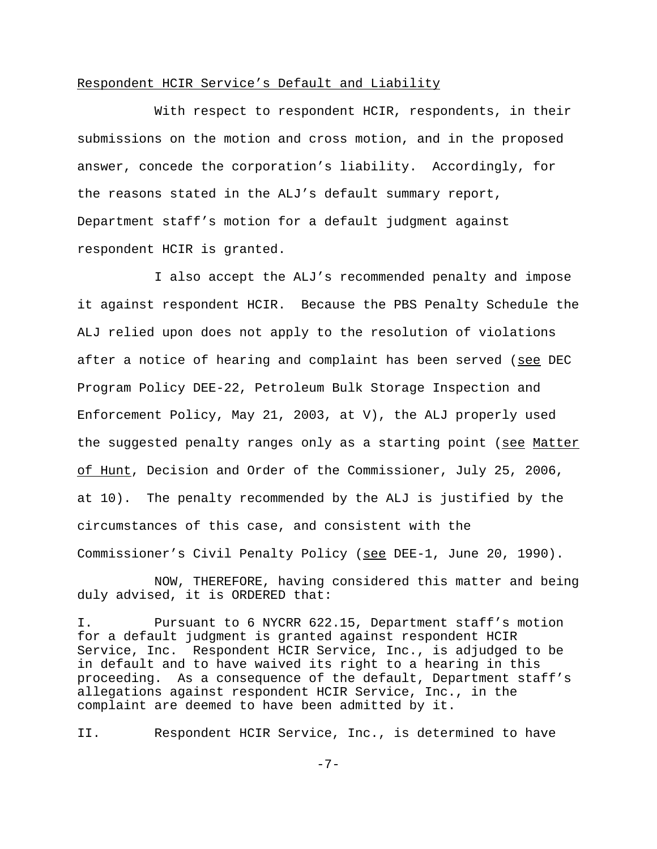## Respondent HCIR Service's Default and Liability

With respect to respondent HCIR, respondents, in their submissions on the motion and cross motion, and in the proposed answer, concede the corporation's liability. Accordingly, for the reasons stated in the ALJ's default summary report, Department staff's motion for a default judgment against respondent HCIR is granted.

I also accept the ALJ's recommended penalty and impose it against respondent HCIR. Because the PBS Penalty Schedule the ALJ relied upon does not apply to the resolution of violations after a notice of hearing and complaint has been served (see DEC Program Policy DEE-22, Petroleum Bulk Storage Inspection and Enforcement Policy, May 21, 2003, at V), the ALJ properly used the suggested penalty ranges only as a starting point (see Matter of Hunt, Decision and Order of the Commissioner, July 25, 2006, at 10). The penalty recommended by the ALJ is justified by the circumstances of this case, and consistent with the Commissioner's Civil Penalty Policy (see DEE-1, June 20, 1990).

NOW, THEREFORE, having considered this matter and being duly advised, it is ORDERED that:

I. Pursuant to 6 NYCRR 622.15, Department staff's motion for a default judgment is granted against respondent HCIR Service, Inc. Respondent HCIR Service, Inc., is adjudged to be in default and to have waived its right to a hearing in this proceeding. As a consequence of the default, Department staff's allegations against respondent HCIR Service, Inc., in the complaint are deemed to have been admitted by it.

II. Respondent HCIR Service, Inc., is determined to have

-7-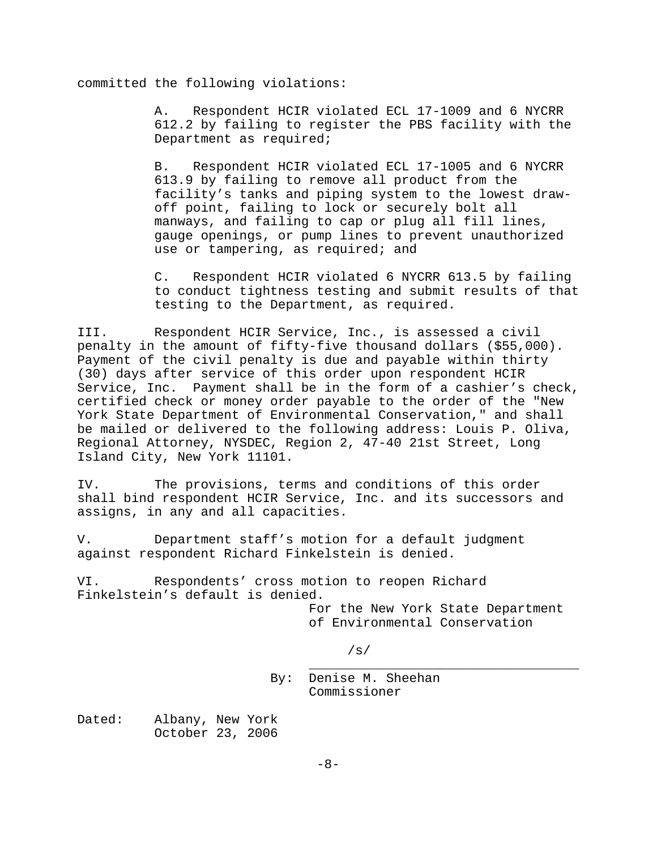committed the following violations:

A. Respondent HCIR violated ECL 17-1009 and 6 NYCRR 612.2 by failing to register the PBS facility with the Department as required;

B. Respondent HCIR violated ECL 17-1005 and 6 NYCRR 613.9 by failing to remove all product from the facility's tanks and piping system to the lowest drawoff point, failing to lock or securely bolt all manways, and failing to cap or plug all fill lines, gauge openings, or pump lines to prevent unauthorized use or tampering, as required; and

C. Respondent HCIR violated 6 NYCRR 613.5 by failing to conduct tightness testing and submit results of that testing to the Department, as required.

III. Respondent HCIR Service, Inc., is assessed a civil penalty in the amount of fifty-five thousand dollars (\$55,000). Payment of the civil penalty is due and payable within thirty (30) days after service of this order upon respondent HCIR Service, Inc. Payment shall be in the form of a cashier's check, certified check or money order payable to the order of the "New York State Department of Environmental Conservation," and shall be mailed or delivered to the following address: Louis P. Oliva, Regional Attorney, NYSDEC, Region 2, 47-40 21st Street, Long Island City, New York 11101.

IV. The provisions, terms and conditions of this order shall bind respondent HCIR Service, Inc. and its successors and assigns, in any and all capacities.

V. Department staff's motion for a default judgment against respondent Richard Finkelstein is denied.

VI. Respondents' cross motion to reopen Richard Finkelstein's default is denied.

> For the New York State Department of Environmental Conservation

> > /s/

\_\_\_\_\_\_\_\_\_\_\_\_\_\_\_\_\_\_\_\_\_\_\_\_\_\_\_\_\_\_\_\_\_\_\_ By: Denise M. Sheehan Commissioner

Dated: Albany, New York October 23, 2006

 $-8-$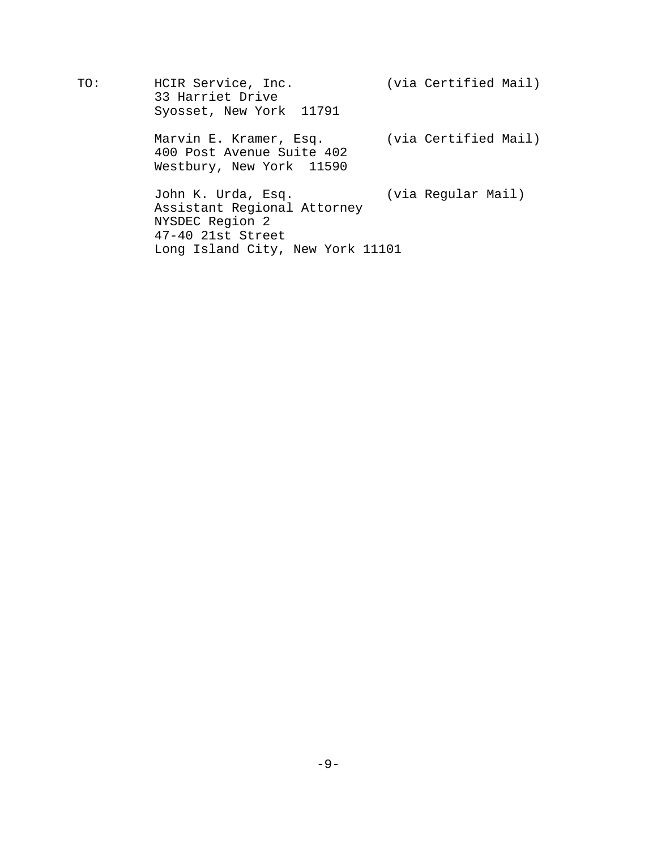TO: HCIR Service, Inc. (via Certified Mail) 33 Harriet Drive Syosset, New York 11791 Marvin E. Kramer, Esq. (via Certified Mail) 400 Post Avenue Suite 402 Westbury, New York 11590 John K. Urda, Esq. (via Regular Mail) Assistant Regional Attorney NYSDEC Region 2

47-40 21st Street

Long Island City, New York 11101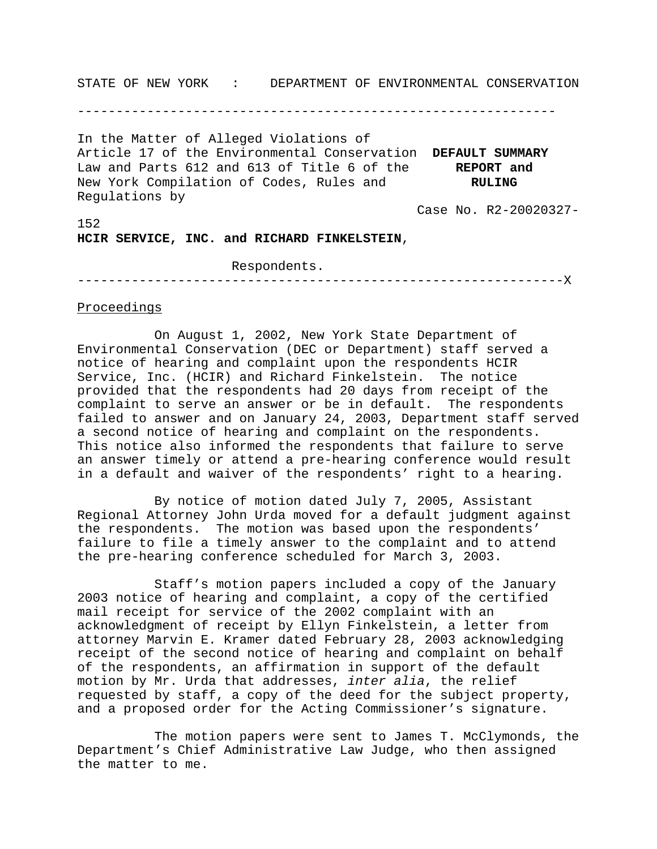STATE OF NEW YORK : DEPARTMENT OF ENVIRONMENTAL CONSERVATION

--------------------------------------------------------------

In the Matter of Alleged Violations of Article 17 of the Environmental Conservation **DEFAULT SUMMARY** Law and Parts 612 and 613 of Title 6 of the **REPORT and** New York Compilation of Codes, Rules and **RULING** Regulations by

Case No. R2-20020327-

152

**HCIR SERVICE, INC. and RICHARD FINKELSTEIN**,

#### Respondents.

---------------------------------------------------------------X

### Proceedings

On August 1, 2002, New York State Department of Environmental Conservation (DEC or Department) staff served a notice of hearing and complaint upon the respondents HCIR Service, Inc. (HCIR) and Richard Finkelstein. The notice provided that the respondents had 20 days from receipt of the complaint to serve an answer or be in default. The respondents failed to answer and on January 24, 2003, Department staff served a second notice of hearing and complaint on the respondents. This notice also informed the respondents that failure to serve an answer timely or attend a pre-hearing conference would result in a default and waiver of the respondents' right to a hearing.

By notice of motion dated July 7, 2005, Assistant Regional Attorney John Urda moved for a default judgment against the respondents. The motion was based upon the respondents' failure to file a timely answer to the complaint and to attend the pre-hearing conference scheduled for March 3, 2003.

Staff's motion papers included a copy of the January 2003 notice of hearing and complaint, a copy of the certified mail receipt for service of the 2002 complaint with an acknowledgment of receipt by Ellyn Finkelstein, a letter from attorney Marvin E. Kramer dated February 28, 2003 acknowledging receipt of the second notice of hearing and complaint on behalf of the respondents, an affirmation in support of the default motion by Mr. Urda that addresses, *inter alia*, the relief requested by staff, a copy of the deed for the subject property, and a proposed order for the Acting Commissioner's signature.

The motion papers were sent to James T. McClymonds, the Department's Chief Administrative Law Judge, who then assigned the matter to me.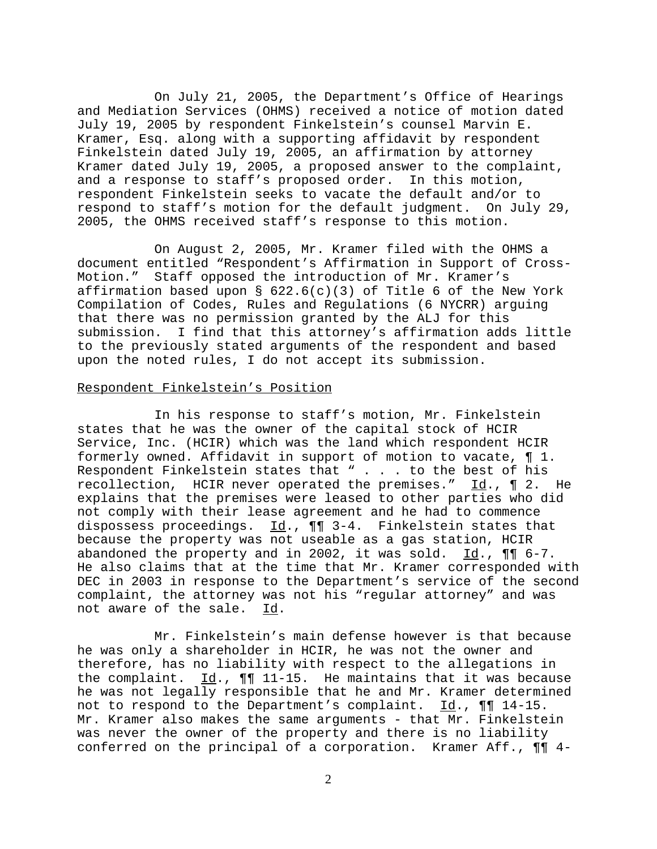On July 21, 2005, the Department's Office of Hearings and Mediation Services (OHMS) received a notice of motion dated July 19, 2005 by respondent Finkelstein's counsel Marvin E. Kramer, Esq. along with a supporting affidavit by respondent Finkelstein dated July 19, 2005, an affirmation by attorney Kramer dated July 19, 2005, a proposed answer to the complaint, and a response to staff's proposed order. In this motion, respondent Finkelstein seeks to vacate the default and/or to respond to staff's motion for the default judgment. On July 29, 2005, the OHMS received staff's response to this motion.

On August 2, 2005, Mr. Kramer filed with the OHMS a document entitled "Respondent's Affirmation in Support of Cross-Motion." Staff opposed the introduction of Mr. Kramer's affirmation based upon §  $622.6(c)(3)$  of Title 6 of the New York Compilation of Codes, Rules and Regulations (6 NYCRR) arguing that there was no permission granted by the ALJ for this submission. I find that this attorney's affirmation adds little to the previously stated arguments of the respondent and based upon the noted rules, I do not accept its submission.

## Respondent Finkelstein's Position

In his response to staff's motion, Mr. Finkelstein states that he was the owner of the capital stock of HCIR Service, Inc. (HCIR) which was the land which respondent HCIR formerly owned. Affidavit in support of motion to vacate, ¶ 1. Respondent Finkelstein states that " . . . to the best of his recollection, HCIR never operated the premises." Id., ¶ 2. He explains that the premises were leased to other parties who did not comply with their lease agreement and he had to commence dispossess proceedings.  $\underline{Id}$ .,  $\P\P$  3-4. Finkelstein states that because the property was not useable as a gas station, HCIR abandoned the property and in 2002, it was sold.  $Id.$ ,  $\P\P$  6-7. He also claims that at the time that Mr. Kramer corresponded with DEC in 2003 in response to the Department's service of the second complaint, the attorney was not his "regular attorney" and was not aware of the sale. Id.

Mr. Finkelstein's main defense however is that because he was only a shareholder in HCIR, he was not the owner and therefore, has no liability with respect to the allegations in the complaint. Id., ¶¶ 11-15. He maintains that it was because he was not legally responsible that he and Mr. Kramer determined not to respond to the Department's complaint.  $\underline{Id}$ .,  $\P\P$  14-15. Mr. Kramer also makes the same arguments - that Mr. Finkelstein was never the owner of the property and there is no liability conferred on the principal of a corporation. Kramer Aff., ¶¶ 4-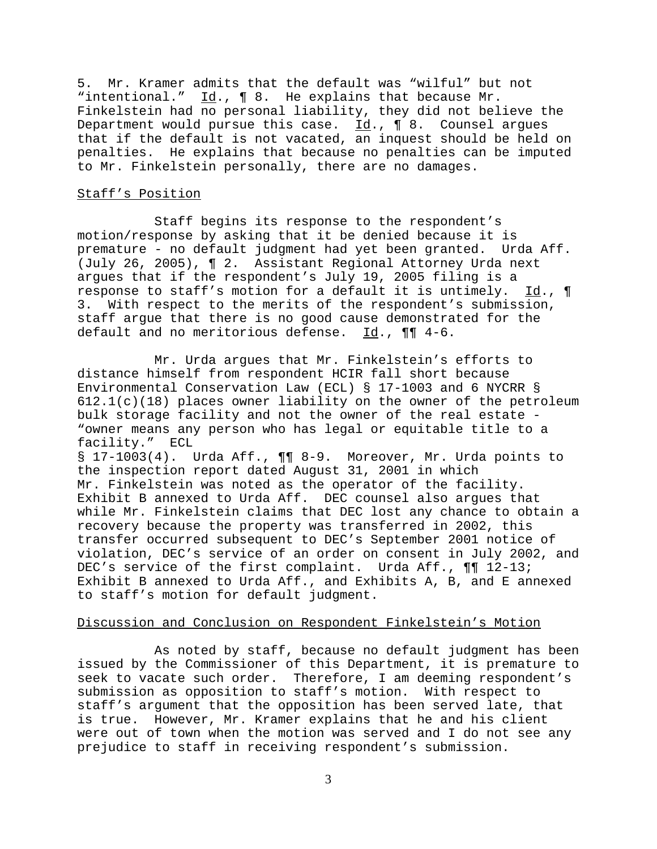5. Mr. Kramer admits that the default was "wilful" but not "intentional."  $Id.$ ,  $\P 8.$  He explains that because Mr. Finkelstein had no personal liability, they did not believe the Department would pursue this case. Id., ¶ 8. Counsel argues that if the default is not vacated, an inquest should be held on penalties. He explains that because no penalties can be imputed to Mr. Finkelstein personally, there are no damages.

# Staff's Position

Staff begins its response to the respondent's motion/response by asking that it be denied because it is premature - no default judgment had yet been granted. Urda Aff. (July 26, 2005), ¶ 2. Assistant Regional Attorney Urda next argues that if the respondent's July 19, 2005 filing is a response to staff's motion for a default it is untimely. Id., ¶ 3. With respect to the merits of the respondent's submission, staff argue that there is no good cause demonstrated for the default and no meritorious defense. Id., ¶¶ 4-6.

Mr. Urda argues that Mr. Finkelstein's efforts to distance himself from respondent HCIR fall short because Environmental Conservation Law (ECL) § 17-1003 and 6 NYCRR §  $612.1(c)(18)$  places owner liability on the owner of the petroleum bulk storage facility and not the owner of the real estate - "owner means any person who has legal or equitable title to a facility." ECL

§ 17-1003(4). Urda Aff., ¶¶ 8-9. Moreover, Mr. Urda points to the inspection report dated August 31, 2001 in which Mr. Finkelstein was noted as the operator of the facility. Exhibit B annexed to Urda Aff. DEC counsel also argues that while Mr. Finkelstein claims that DEC lost any chance to obtain a recovery because the property was transferred in 2002, this transfer occurred subsequent to DEC's September 2001 notice of violation, DEC's service of an order on consent in July 2002, and DEC's service of the first complaint. Urda Aff.,  $\P\P$  12-13; Exhibit B annexed to Urda Aff., and Exhibits A, B, and E annexed to staff's motion for default judgment.

### Discussion and Conclusion on Respondent Finkelstein's Motion

As noted by staff, because no default judgment has been issued by the Commissioner of this Department, it is premature to seek to vacate such order. Therefore, I am deeming respondent's submission as opposition to staff's motion. With respect to staff's argument that the opposition has been served late, that is true. However, Mr. Kramer explains that he and his client were out of town when the motion was served and I do not see any prejudice to staff in receiving respondent's submission.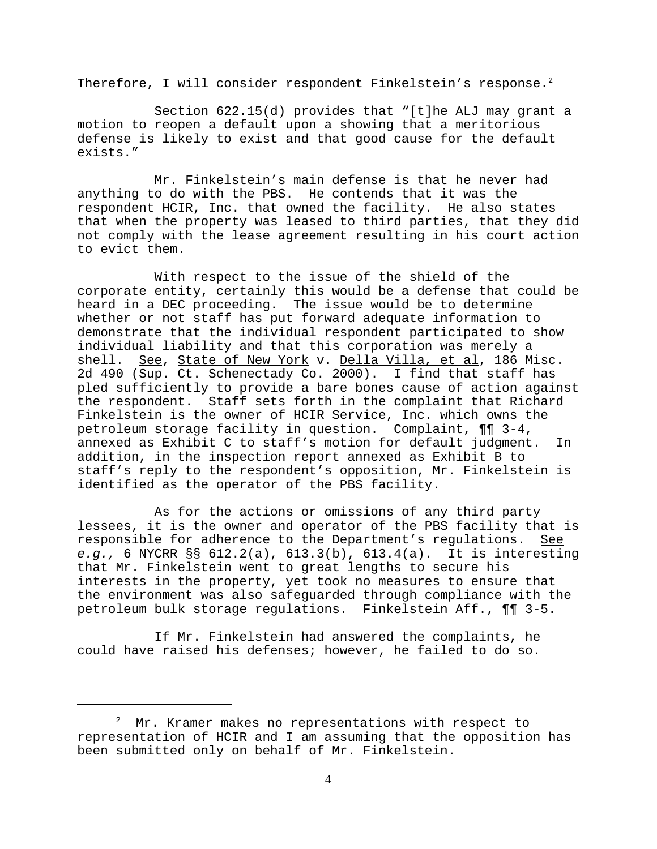Therefore, I will consider respondent Finkelstein's response.<sup>2</sup>

Section 622.15(d) provides that "[t]he ALJ may grant a motion to reopen a default upon a showing that a meritorious defense is likely to exist and that good cause for the default exists."

Mr. Finkelstein's main defense is that he never had anything to do with the PBS. He contends that it was the respondent HCIR, Inc. that owned the facility. He also states that when the property was leased to third parties, that they did not comply with the lease agreement resulting in his court action to evict them.

With respect to the issue of the shield of the corporate entity, certainly this would be a defense that could be heard in a DEC proceeding. The issue would be to determine whether or not staff has put forward adequate information to demonstrate that the individual respondent participated to show individual liability and that this corporation was merely a shell. See, State of New York v. Della Villa, et al, 186 Misc. 2d 490 (Sup. Ct. Schenectady Co. 2000). I find that staff has pled sufficiently to provide a bare bones cause of action against the respondent. Staff sets forth in the complaint that Richard Finkelstein is the owner of HCIR Service, Inc. which owns the petroleum storage facility in question. Complaint, ¶¶ 3-4, annexed as Exhibit C to staff's motion for default judgment. In addition, in the inspection report annexed as Exhibit B to staff's reply to the respondent's opposition, Mr. Finkelstein is identified as the operator of the PBS facility.

As for the actions or omissions of any third party lessees, it is the owner and operator of the PBS facility that is responsible for adherence to the Department's regulations. See *e.g.,* 6 NYCRR §§ 612.2(a), 613.3(b), 613.4(a). It is interesting that Mr. Finkelstein went to great lengths to secure his interests in the property, yet took no measures to ensure that the environment was also safeguarded through compliance with the petroleum bulk storage regulations. Finkelstein Aff., ¶¶ 3-5.

If Mr. Finkelstein had answered the complaints, he could have raised his defenses; however, he failed to do so.

 $2^2$  Mr. Kramer makes no representations with respect to representation of HCIR and I am assuming that the opposition has been submitted only on behalf of Mr. Finkelstein.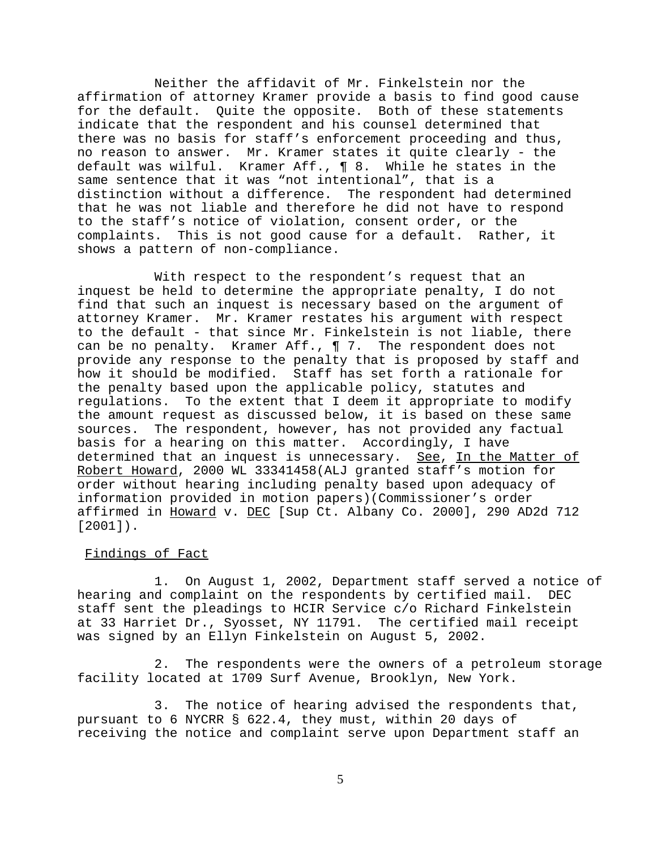Neither the affidavit of Mr. Finkelstein nor the affirmation of attorney Kramer provide a basis to find good cause for the default. Quite the opposite. Both of these statements indicate that the respondent and his counsel determined that there was no basis for staff's enforcement proceeding and thus, no reason to answer. Mr. Kramer states it quite clearly - the default was wilful. Kramer Aff., ¶ 8. While he states in the same sentence that it was "not intentional", that is a<br>distinction without a difference. The respondent had determined distinction without a difference. that he was not liable and therefore he did not have to respond to the staff's notice of violation, consent order, or the complaints. This is not good cause for a default. Rather, it shows a pattern of non-compliance.

With respect to the respondent's request that an inquest be held to determine the appropriate penalty, I do not find that such an inquest is necessary based on the argument of attorney Kramer. Mr. Kramer restates his argument with respect to the default - that since Mr. Finkelstein is not liable, there can be no penalty. Kramer Aff., ¶ 7. The respondent does not provide any response to the penalty that is proposed by staff and how it should be modified. Staff has set forth a rationale for the penalty based upon the applicable policy, statutes and regulations. To the extent that I deem it appropriate to modify the amount request as discussed below, it is based on these same sources. The respondent, however, has not provided any factual basis for a hearing on this matter. Accordingly, I have determined that an inquest is unnecessary. See, In the Matter of Robert Howard, 2000 WL 33341458(ALJ granted staff's motion for order without hearing including penalty based upon adequacy of information provided in motion papers)(Commissioner's order affirmed in Howard v. DEC [Sup Ct. Albany Co. 2000], 290 AD2d 712 [2001]).

# Findings of Fact

1. On August 1, 2002, Department staff served a notice of hearing and complaint on the respondents by certified mail. DEC staff sent the pleadings to HCIR Service c/o Richard Finkelstein at 33 Harriet Dr., Syosset, NY 11791. The certified mail receipt was signed by an Ellyn Finkelstein on August 5, 2002.

2. The respondents were the owners of a petroleum storage facility located at 1709 Surf Avenue, Brooklyn, New York.

3. The notice of hearing advised the respondents that, pursuant to 6 NYCRR § 622.4, they must, within 20 days of receiving the notice and complaint serve upon Department staff an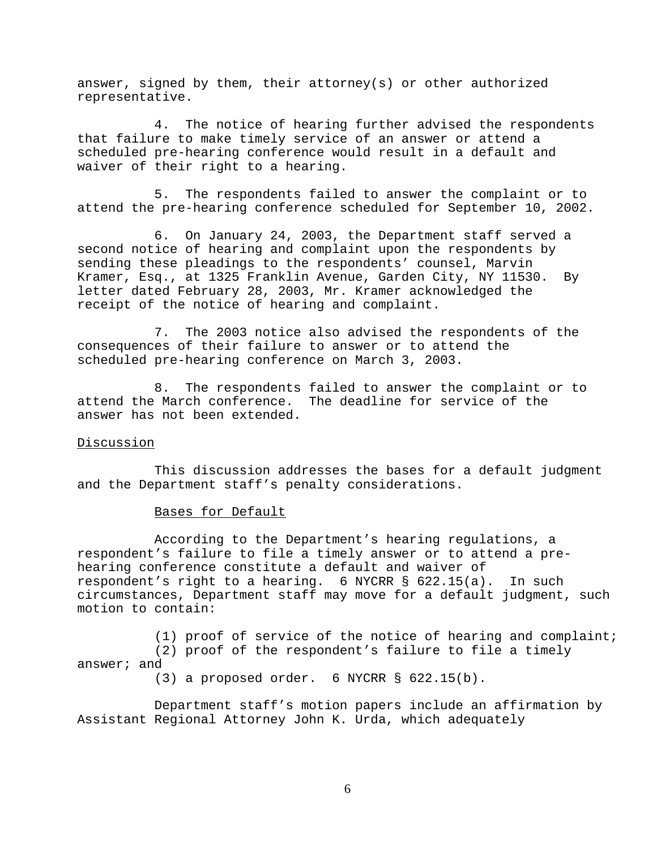answer, signed by them, their attorney(s) or other authorized representative.

4. The notice of hearing further advised the respondents that failure to make timely service of an answer or attend a scheduled pre-hearing conference would result in a default and waiver of their right to a hearing.

5. The respondents failed to answer the complaint or to attend the pre-hearing conference scheduled for September 10, 2002.

6. On January 24, 2003, the Department staff served a second notice of hearing and complaint upon the respondents by sending these pleadings to the respondents' counsel, Marvin Kramer, Esq., at 1325 Franklin Avenue, Garden City, NY 11530. By letter dated February 28, 2003, Mr. Kramer acknowledged the receipt of the notice of hearing and complaint.

7. The 2003 notice also advised the respondents of the consequences of their failure to answer or to attend the scheduled pre-hearing conference on March 3, 2003.

8. The respondents failed to answer the complaint or to attend the March conference. The deadline for service of the answer has not been extended.

## Discussion

This discussion addresses the bases for a default judgment and the Department staff's penalty considerations.

## Bases for Default

According to the Department's hearing regulations, a respondent's failure to file a timely answer or to attend a prehearing conference constitute a default and waiver of respondent's right to a hearing. 6 NYCRR § 622.15(a). In such circumstances, Department staff may move for a default judgment, such motion to contain:

(1) proof of service of the notice of hearing and complaint; (2) proof of the respondent's failure to file a timely answer; and

(3) a proposed order. 6 NYCRR § 622.15(b).

Department staff's motion papers include an affirmation by Assistant Regional Attorney John K. Urda, which adequately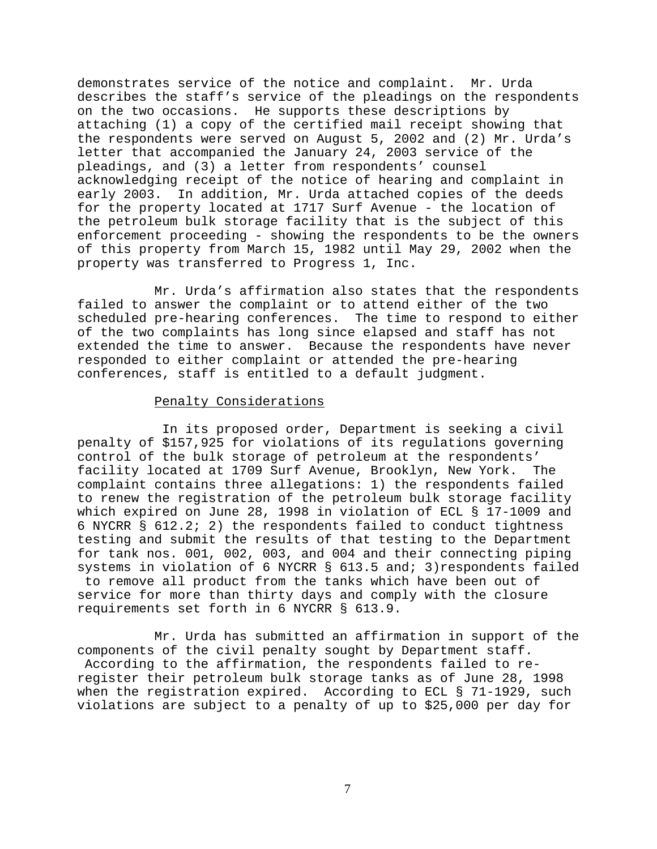demonstrates service of the notice and complaint. Mr. Urda describes the staff's service of the pleadings on the respondents on the two occasions. He supports these descriptions by attaching (1) a copy of the certified mail receipt showing that the respondents were served on August 5, 2002 and (2) Mr. Urda's letter that accompanied the January 24, 2003 service of the pleadings, and (3) a letter from respondents' counsel acknowledging receipt of the notice of hearing and complaint in early 2003. In addition, Mr. Urda attached copies of the deeds for the property located at 1717 Surf Avenue - the location of the petroleum bulk storage facility that is the subject of this enforcement proceeding - showing the respondents to be the owners of this property from March 15, 1982 until May 29, 2002 when the property was transferred to Progress 1, Inc.

Mr. Urda's affirmation also states that the respondents failed to answer the complaint or to attend either of the two scheduled pre-hearing conferences. The time to respond to either of the two complaints has long since elapsed and staff has not extended the time to answer. Because the respondents have never responded to either complaint or attended the pre-hearing conferences, staff is entitled to a default judgment.

## Penalty Considerations

 In its proposed order, Department is seeking a civil penalty of \$157,925 for violations of its regulations governing control of the bulk storage of petroleum at the respondents' facility located at 1709 Surf Avenue, Brooklyn, New York. The complaint contains three allegations: 1) the respondents failed to renew the registration of the petroleum bulk storage facility which expired on June 28, 1998 in violation of ECL § 17-1009 and 6 NYCRR § 612.2; 2) the respondents failed to conduct tightness testing and submit the results of that testing to the Department for tank nos. 001, 002, 003, and 004 and their connecting piping systems in violation of 6 NYCRR § 613.5 and; 3)respondents failed to remove all product from the tanks which have been out of service for more than thirty days and comply with the closure requirements set forth in 6 NYCRR § 613.9.

Mr. Urda has submitted an affirmation in support of the components of the civil penalty sought by Department staff. According to the affirmation, the respondents failed to reregister their petroleum bulk storage tanks as of June 28, 1998 when the registration expired. According to ECL § 71-1929, such violations are subject to a penalty of up to \$25,000 per day for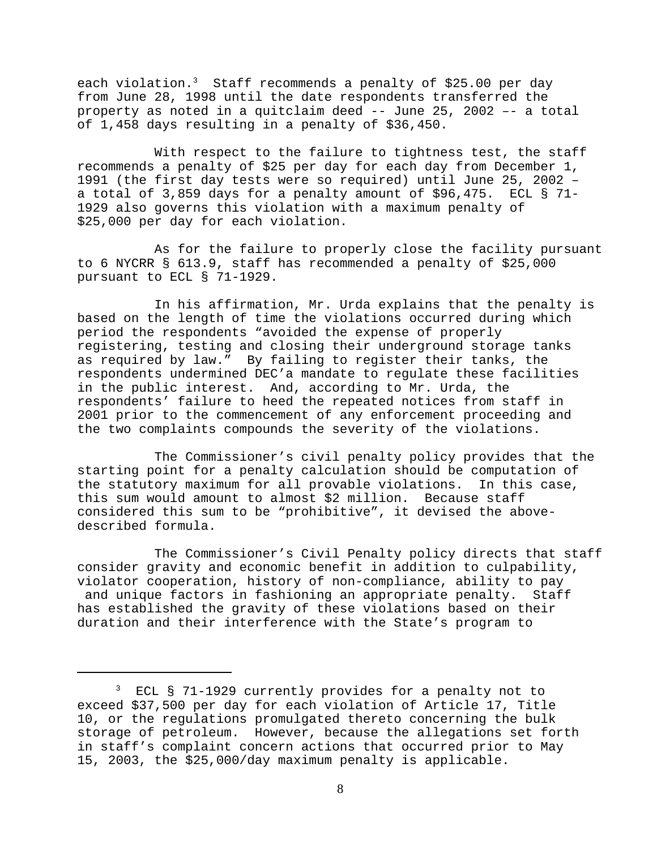each violation.<sup>3</sup> Staff recommends a penalty of \$25.00 per day from June 28, 1998 until the date respondents transferred the property as noted in a quitclaim deed -- June 25, 2002 –- a total of 1,458 days resulting in a penalty of \$36,450.

With respect to the failure to tightness test, the staff recommends a penalty of \$25 per day for each day from December 1, 1991 (the first day tests were so required) until June 25, 2002 – a total of 3,859 days for a penalty amount of \$96,475. ECL § 71- 1929 also governs this violation with a maximum penalty of \$25,000 per day for each violation.

As for the failure to properly close the facility pursuant to 6 NYCRR § 613.9, staff has recommended a penalty of \$25,000 pursuant to ECL § 71-1929.

In his affirmation, Mr. Urda explains that the penalty is based on the length of time the violations occurred during which period the respondents "avoided the expense of properly registering, testing and closing their underground storage tanks as required by law." By failing to register their tanks, the respondents undermined DEC'a mandate to regulate these facilities in the public interest. And, according to Mr. Urda, the respondents' failure to heed the repeated notices from staff in 2001 prior to the commencement of any enforcement proceeding and the two complaints compounds the severity of the violations.

The Commissioner's civil penalty policy provides that the starting point for a penalty calculation should be computation of the statutory maximum for all provable violations. In this case, this sum would amount to almost \$2 million. Because staff considered this sum to be "prohibitive", it devised the abovedescribed formula.

The Commissioner's Civil Penalty policy directs that staff consider gravity and economic benefit in addition to culpability, violator cooperation, history of non-compliance, ability to pay and unique factors in fashioning an appropriate penalty. Staff has established the gravity of these violations based on their duration and their interference with the State's program to

<sup>3</sup> ECL § 71-1929 currently provides for a penalty not to exceed \$37,500 per day for each violation of Article 17, Title 10, or the regulations promulgated thereto concerning the bulk storage of petroleum. However, because the allegations set forth in staff's complaint concern actions that occurred prior to May 15, 2003, the \$25,000/day maximum penalty is applicable.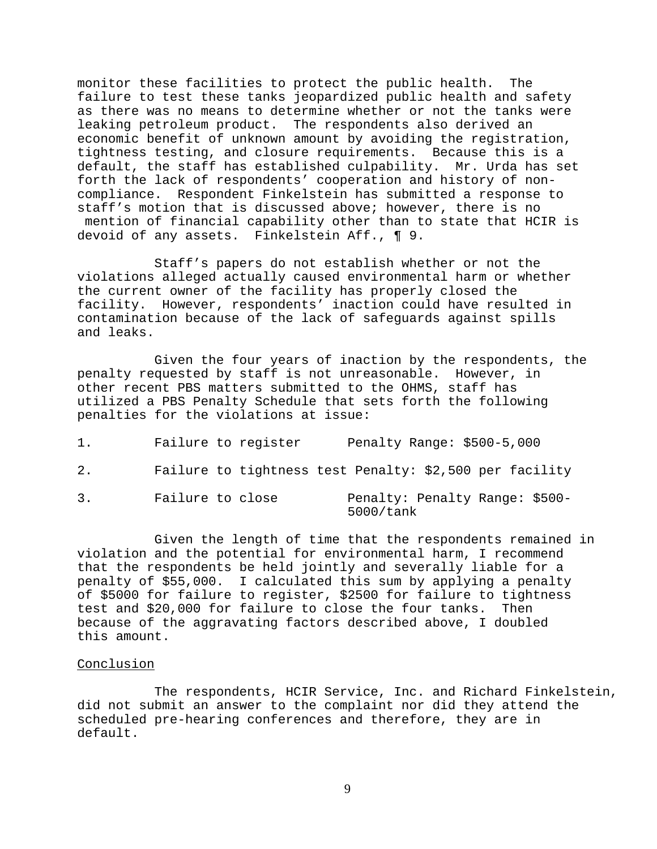monitor these facilities to protect the public health. The failure to test these tanks jeopardized public health and safety as there was no means to determine whether or not the tanks were leaking petroleum product. The respondents also derived an economic benefit of unknown amount by avoiding the registration, tightness testing, and closure requirements. Because this is a default, the staff has established culpability. Mr. Urda has set forth the lack of respondents' cooperation and history of noncompliance. Respondent Finkelstein has submitted a response to staff's motion that is discussed above; however, there is no mention of financial capability other than to state that HCIR is devoid of any assets. Finkelstein Aff., ¶ 9.

Staff's papers do not establish whether or not the violations alleged actually caused environmental harm or whether the current owner of the facility has properly closed the facility. However, respondents' inaction could have resulted in contamination because of the lack of safeguards against spills and leaks.

Given the four years of inaction by the respondents, the penalty requested by staff is not unreasonable. However, in other recent PBS matters submitted to the OHMS, staff has utilized a PBS Penalty Schedule that sets forth the following penalties for the violations at issue:

| 1. |                  | Failure to register | Penalty Range: \$500-5,000                              |  |
|----|------------------|---------------------|---------------------------------------------------------|--|
| 2. |                  |                     | Failure to tightness test Penalty: \$2,500 per facility |  |
| 3. | Failure to close |                     | Penalty: Penalty Range: \$500-<br>5000/tank             |  |

Given the length of time that the respondents remained in violation and the potential for environmental harm, I recommend that the respondents be held jointly and severally liable for a penalty of \$55,000. I calculated this sum by applying a penalty of \$5000 for failure to register, \$2500 for failure to tightness test and \$20,000 for failure to close the four tanks. Then because of the aggravating factors described above, I doubled this amount.

## Conclusion

The respondents, HCIR Service, Inc. and Richard Finkelstein, did not submit an answer to the complaint nor did they attend the scheduled pre-hearing conferences and therefore, they are in default.